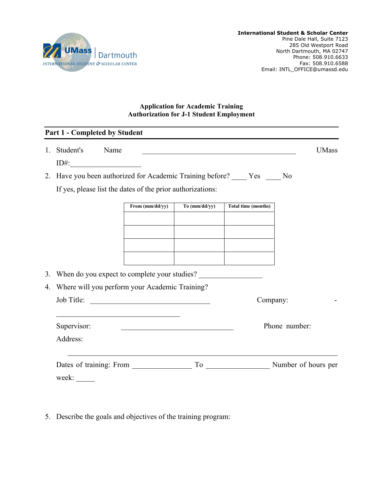

## **Application for Academic Training Authorization for J-1 Student Employment**

|    | <b>Part 1 - Completed by Student</b>                                               |                                                 |               |                            |              |
|----|------------------------------------------------------------------------------------|-------------------------------------------------|---------------|----------------------------|--------------|
| 1. | Student's<br>Name<br>$ID#$ :                                                       |                                                 |               |                            | <b>UMass</b> |
| 2. | Have you been authorized for Academic Training before? _____ Yes _____ No          |                                                 |               |                            |              |
|    | If yes, please list the dates of the prior authorizations:                         |                                                 |               |                            |              |
|    |                                                                                    | From (mm/dd/yy)                                 | To (mm/dd/yy) | <b>Total time (months)</b> |              |
|    |                                                                                    |                                                 |               |                            |              |
|    |                                                                                    |                                                 |               |                            |              |
| 3. |                                                                                    | When do you expect to complete your studies?    |               |                            |              |
| 4. | Where will you perform your Academic Training?                                     |                                                 |               |                            |              |
|    | Job Title:                                                                         | <u> 1989 - Johann John Stein, mars et al. (</u> |               | Company:                   |              |
|    | Supervisor:<br><u> 1989 - Johann John Stone, mars eta erromaniar eta erromania</u> |                                                 |               | Phone number:              |              |
|    | Address:                                                                           |                                                 |               |                            |              |
|    | Dates of training: From                                                            |                                                 |               | To Number of hours per     |              |

5. Describe the goals and objectives of the training program: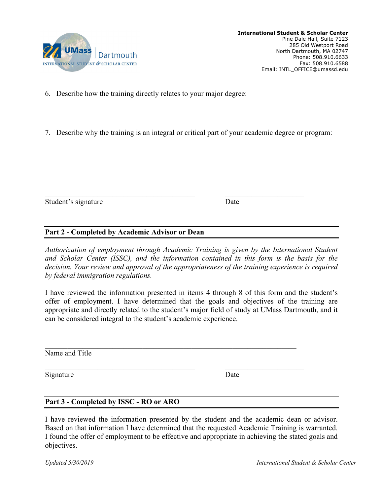

6. Describe how the training directly relates to your major degree:

7. Describe why the training is an integral or critical part of your academic degree or program:

Student's signature Date

## **Part 2 - Completed by Academic Advisor or Dean**

*Authorization of employment through Academic Training is given by the International Student and Scholar Center (ISSC), and the information contained in this form is the basis for the decision. Your review and approval of the appropriateness of the training experience is required by federal immigration regulations.* 

I have reviewed the information presented in items 4 through 8 of this form and the student's offer of employment. I have determined that the goals and objectives of the training are appropriate and directly related to the student's major field of study at UMass Dartmouth, and it can be considered integral to the student's academic experience.

Name and Title

Signature Date

## **Part 3 - Completed by ISSC - RO or ARO**

I have reviewed the information presented by the student and the academic dean or advisor. Based on that information I have determined that the requested Academic Training is warranted. I found the offer of employment to be effective and appropriate in achieving the stated goals and objectives.